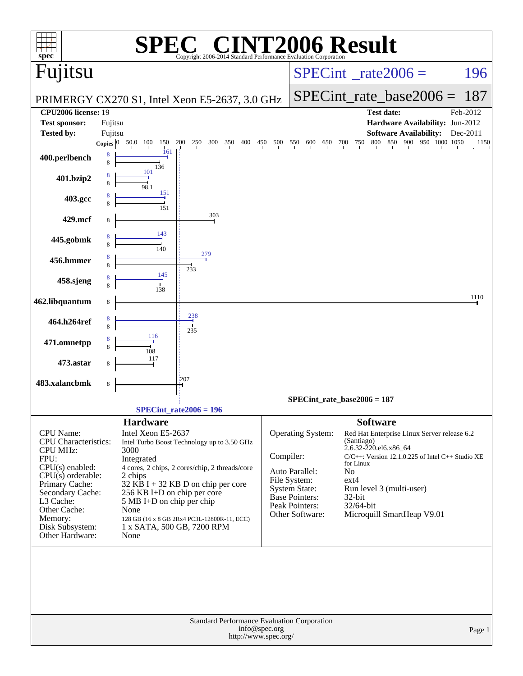| spec <sup>®</sup>                                  | $\sqrt{P}$<br>Copyright 2006-2014 Standard Performance Evaluation Corporation                      | <b>NT2006 Result</b>                                                                    |
|----------------------------------------------------|----------------------------------------------------------------------------------------------------|-----------------------------------------------------------------------------------------|
| Fujitsu                                            |                                                                                                    | $SPECint^{\circ}$ <sub>_rate2006</sub> =<br>196                                         |
|                                                    | PRIMERGY CX270 S1, Intel Xeon E5-2637, 3.0 GHz                                                     | $SPECint_rate\_base2006 =$<br>187                                                       |
| <b>CPU2006 license: 19</b><br><b>Test sponsor:</b> | Fujitsu                                                                                            | <b>Test date:</b><br>Feb-2012<br>Hardware Availability: Jun-2012                        |
| Tested by:                                         | Fujitsu                                                                                            | <b>Software Availability:</b><br>Dec-2011                                               |
|                                                    | 50.0<br>150<br>$\overline{200}$<br>250<br>300<br>350<br>400<br>450<br>100<br>Copies $\overline{0}$ | 500<br>550<br>750<br>800<br>850<br>900<br>950<br>1000 1050<br>600<br>650<br>700<br>1150 |
| 400.perlbench                                      | 161<br>8<br>136                                                                                    |                                                                                         |
| 401.bzip2                                          | 101<br>98.1                                                                                        |                                                                                         |
| 403.gcc                                            | 151                                                                                                |                                                                                         |
| 429.mcf                                            | 303                                                                                                |                                                                                         |
| 445.gobmk                                          | 143<br>140                                                                                         |                                                                                         |
| 456.hmmer                                          | 279<br>233                                                                                         |                                                                                         |
| 458.sjeng                                          | 145                                                                                                |                                                                                         |
| 462.libquantum                                     | 8                                                                                                  | 1110                                                                                    |
| 464.h264ref                                        | $\frac{238}{4}$<br>235                                                                             |                                                                                         |
| 471.omnetpp                                        | 116                                                                                                |                                                                                         |
| 473.astar                                          | 117                                                                                                |                                                                                         |
| 483.xalancbmk                                      | 1207<br>8                                                                                          |                                                                                         |
|                                                    |                                                                                                    | $SPECint_rate_base2006 = 187$                                                           |
|                                                    | $SPECint_rate2006 = 196$                                                                           |                                                                                         |
| <b>CPU</b> Name:                                   | <b>Hardware</b><br>Intel Xeon E5-2637                                                              | <b>Software</b><br>Operating System:<br>Red Hat Enterprise Linux Server release 6.2     |
| <b>CPU</b> Characteristics:                        | Intel Turbo Boost Technology up to 3.50 GHz                                                        | (Santiago)<br>2.6.32-220.el6.x86_64                                                     |
| <b>CPU MHz:</b><br>FPU:                            | 3000<br>Integrated                                                                                 | Compiler:<br>C/C++: Version 12.1.0.225 of Intel C++ Studio XE                           |
| $CPU(s)$ enabled:                                  | 4 cores, 2 chips, 2 cores/chip, 2 threads/core                                                     | for Linux<br>Auto Parallel:<br>No                                                       |
| $CPU(s)$ orderable:<br>Primary Cache:              | 2 chips<br>$32$ KB I + 32 KB D on chip per core                                                    | File System:<br>$ext{4}$                                                                |
| Secondary Cache:                                   | 256 KB I+D on chip per core                                                                        | System State:<br>Run level 3 (multi-user)<br><b>Base Pointers:</b><br>32-bit            |
| L3 Cache:<br>Other Cache:                          | 5 MB I+D on chip per chip                                                                          | Peak Pointers:<br>32/64-bit                                                             |
| Memory:                                            | None<br>128 GB (16 x 8 GB 2Rx4 PC3L-12800R-11, ECC)                                                | Other Software:<br>Microquill SmartHeap V9.01                                           |
| Disk Subsystem:<br>Other Hardware:                 | 1 x SATA, 500 GB, 7200 RPM<br>None                                                                 |                                                                                         |
|                                                    |                                                                                                    |                                                                                         |
|                                                    | Standard Performance Evaluation Corporation<br>info@spec.org<br>http://www.spec.org/               | Page 1                                                                                  |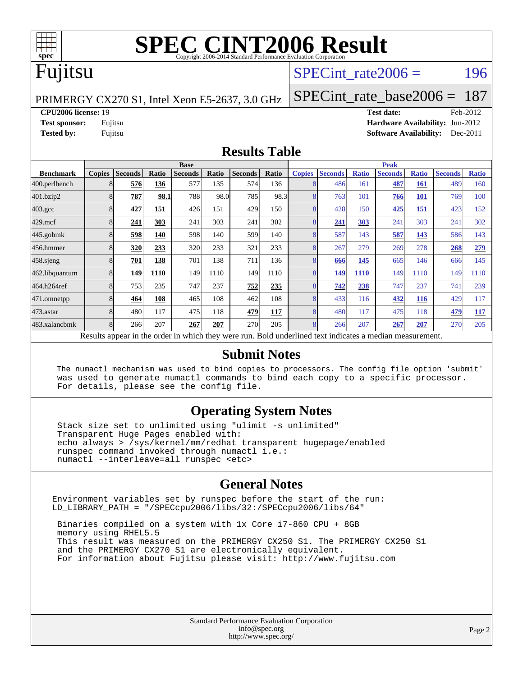

### Fujitsu

#### SPECint rate $2006 = 196$

PRIMERGY CX270 S1, Intel Xeon E5-2637, 3.0 GHz

[SPECint\\_rate\\_base2006 =](http://www.spec.org/auto/cpu2006/Docs/result-fields.html#SPECintratebase2006) 187

#### **[CPU2006 license:](http://www.spec.org/auto/cpu2006/Docs/result-fields.html#CPU2006license)** 19 **[Test date:](http://www.spec.org/auto/cpu2006/Docs/result-fields.html#Testdate)** Feb-2012

**[Test sponsor:](http://www.spec.org/auto/cpu2006/Docs/result-fields.html#Testsponsor)** Fujitsu **[Hardware Availability:](http://www.spec.org/auto/cpu2006/Docs/result-fields.html#HardwareAvailability)** Jun-2012 **[Tested by:](http://www.spec.org/auto/cpu2006/Docs/result-fields.html#Testedby)** Fujitsu **[Software Availability:](http://www.spec.org/auto/cpu2006/Docs/result-fields.html#SoftwareAvailability)** Dec-2011

#### **[Results Table](http://www.spec.org/auto/cpu2006/Docs/result-fields.html#ResultsTable)**

|                                                                                                          | <b>Base</b>   |                |              |                |       |                |       | <b>Peak</b>   |                |              |                |              |                |              |
|----------------------------------------------------------------------------------------------------------|---------------|----------------|--------------|----------------|-------|----------------|-------|---------------|----------------|--------------|----------------|--------------|----------------|--------------|
| <b>Benchmark</b>                                                                                         | <b>Copies</b> | <b>Seconds</b> | <b>Ratio</b> | <b>Seconds</b> | Ratio | <b>Seconds</b> | Ratio | <b>Copies</b> | <b>Seconds</b> | <b>Ratio</b> | <b>Seconds</b> | <b>Ratio</b> | <b>Seconds</b> | <b>Ratio</b> |
| 400.perlbench                                                                                            | 8             | 576            | 136          | 577            | 135   | 574            | 136   | 8             | 486            | 161          | 487            | 161          | 489            | 160          |
| 401.bzip2                                                                                                | 8             | 787            | 98.1         | 788            | 98.0  | 785            | 98.3  | 8             | 763            | 101          | 766            | <b>101</b>   | 769            | 100          |
| $403.\mathrm{gcc}$                                                                                       | 8             | 427            | 151          | 426            | 151   | 429            | 150   | 8             | 428            | 150          | 425            | 151          | 423            | 152          |
| $429$ .mcf                                                                                               | 8             | 241            | 303          | 241            | 303   | 241            | 302   | 8             | 241            | 303          | 241            | 303          | 241            | 302          |
| $445$ .gobmk                                                                                             | 8             | 598            | 140          | 598            | 140   | 599            | 140   | 8             | 587            | 143          | 587            | 143          | 586            | 143          |
| 456.hmmer                                                                                                | 8             | 320            | 233          | 320            | 233   | 321            | 233   | 8             | 267            | 279          | 269            | 278          | 268            | 279          |
| $458$ .sjeng                                                                                             | 8             | 701            | 138          | 701            | 138   | 711            | 136   | 8             | 666            | 145          | 665            | 146          | 666            | 145          |
| 462.libquantum                                                                                           | 8             | 149            | 1110         | 149            | 1110  | 149            | 1110  | 8             | 149            | 1110         | 149            | 1110         | 149            | 1110         |
| 464.h264ref                                                                                              | 8             | 753            | 235          | 747            | 237   | 752            | 235   | 8             | 742            | 238          | 747            | 237          | 741            | 239          |
| 471.omnetpp                                                                                              | 8             | 464            | 108          | 465            | 108   | 462            | 108   | 8             | 433            | 116          | 432            | <u>116</u>   | 429            | 117          |
| $473$ . astar                                                                                            | 8             | 480            | 117          | 475            | 118   | 479            | 117   | 8             | 480            | 117          | 475            | 118          | 479            | 117          |
| 483.xalancbmk                                                                                            | 8             | 266            | 207          | 267            | 207   | 270            | 205   | 8             | 266            | 207          | 267            | 207          | 270            | 205          |
| Results appear in the order in which they were run. Bold underlined text indicates a median measurement. |               |                |              |                |       |                |       |               |                |              |                |              |                |              |

#### **[Submit Notes](http://www.spec.org/auto/cpu2006/Docs/result-fields.html#SubmitNotes)**

 The numactl mechanism was used to bind copies to processors. The config file option 'submit' was used to generate numactl commands to bind each copy to a specific processor. For details, please see the config file.

#### **[Operating System Notes](http://www.spec.org/auto/cpu2006/Docs/result-fields.html#OperatingSystemNotes)**

 Stack size set to unlimited using "ulimit -s unlimited" Transparent Huge Pages enabled with: echo always > /sys/kernel/mm/redhat\_transparent\_hugepage/enabled runspec command invoked through numactl i.e.: numactl --interleave=all runspec <etc>

#### **[General Notes](http://www.spec.org/auto/cpu2006/Docs/result-fields.html#GeneralNotes)**

Environment variables set by runspec before the start of the run: LD\_LIBRARY\_PATH = "/SPECcpu2006/libs/32:/SPECcpu2006/libs/64"

 Binaries compiled on a system with 1x Core i7-860 CPU + 8GB memory using RHEL5.5 This result was measured on the PRIMERGY CX250 S1. The PRIMERGY CX250 S1 and the PRIMERGY CX270 S1 are electronically equivalent. For information about Fujitsu please visit: <http://www.fujitsu.com>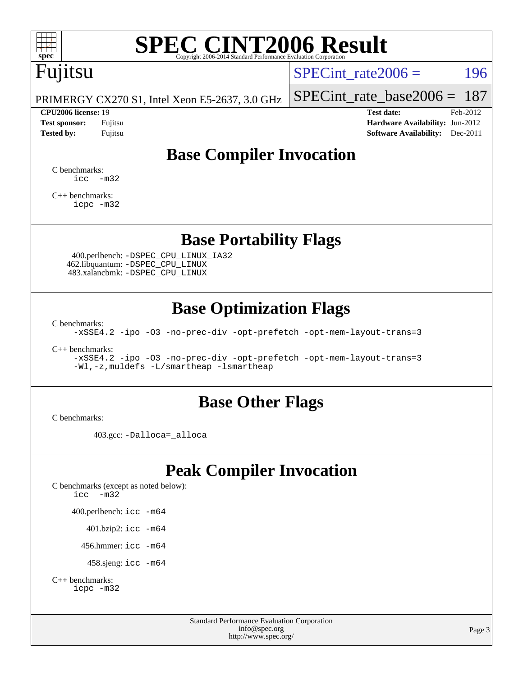## Fujitsu

SPECint rate $2006 = 196$ 

PRIMERGY CX270 S1, Intel Xeon E5-2637, 3.0 GHz

#### **[CPU2006 license:](http://www.spec.org/auto/cpu2006/Docs/result-fields.html#CPU2006license)** 19 **[Test date:](http://www.spec.org/auto/cpu2006/Docs/result-fields.html#Testdate)** Feb-2012

[SPECint\\_rate\\_base2006 =](http://www.spec.org/auto/cpu2006/Docs/result-fields.html#SPECintratebase2006) 187

**[Test sponsor:](http://www.spec.org/auto/cpu2006/Docs/result-fields.html#Testsponsor)** Fujitsu **[Hardware Availability:](http://www.spec.org/auto/cpu2006/Docs/result-fields.html#HardwareAvailability)** Jun-2012 **[Tested by:](http://www.spec.org/auto/cpu2006/Docs/result-fields.html#Testedby)** Fujitsu **Fugital Example 2011 [Software Availability:](http://www.spec.org/auto/cpu2006/Docs/result-fields.html#SoftwareAvailability)** Dec-2011

### **[Base Compiler Invocation](http://www.spec.org/auto/cpu2006/Docs/result-fields.html#BaseCompilerInvocation)**

[C benchmarks](http://www.spec.org/auto/cpu2006/Docs/result-fields.html#Cbenchmarks):  $\text{icc}$   $-\text{m32}$ 

[C++ benchmarks:](http://www.spec.org/auto/cpu2006/Docs/result-fields.html#CXXbenchmarks) [icpc -m32](http://www.spec.org/cpu2006/results/res2012q3/cpu2006-20120620-23152.flags.html#user_CXXbase_intel_icpc_4e5a5ef1a53fd332b3c49e69c3330699)

#### **[Base Portability Flags](http://www.spec.org/auto/cpu2006/Docs/result-fields.html#BasePortabilityFlags)**

 400.perlbench: [-DSPEC\\_CPU\\_LINUX\\_IA32](http://www.spec.org/cpu2006/results/res2012q3/cpu2006-20120620-23152.flags.html#b400.perlbench_baseCPORTABILITY_DSPEC_CPU_LINUX_IA32) 462.libquantum: [-DSPEC\\_CPU\\_LINUX](http://www.spec.org/cpu2006/results/res2012q3/cpu2006-20120620-23152.flags.html#b462.libquantum_baseCPORTABILITY_DSPEC_CPU_LINUX) 483.xalancbmk: [-DSPEC\\_CPU\\_LINUX](http://www.spec.org/cpu2006/results/res2012q3/cpu2006-20120620-23152.flags.html#b483.xalancbmk_baseCXXPORTABILITY_DSPEC_CPU_LINUX)

#### **[Base Optimization Flags](http://www.spec.org/auto/cpu2006/Docs/result-fields.html#BaseOptimizationFlags)**

[C benchmarks](http://www.spec.org/auto/cpu2006/Docs/result-fields.html#Cbenchmarks):

[-xSSE4.2](http://www.spec.org/cpu2006/results/res2012q3/cpu2006-20120620-23152.flags.html#user_CCbase_f-xSSE42_f91528193cf0b216347adb8b939d4107) [-ipo](http://www.spec.org/cpu2006/results/res2012q3/cpu2006-20120620-23152.flags.html#user_CCbase_f-ipo) [-O3](http://www.spec.org/cpu2006/results/res2012q3/cpu2006-20120620-23152.flags.html#user_CCbase_f-O3) [-no-prec-div](http://www.spec.org/cpu2006/results/res2012q3/cpu2006-20120620-23152.flags.html#user_CCbase_f-no-prec-div) [-opt-prefetch](http://www.spec.org/cpu2006/results/res2012q3/cpu2006-20120620-23152.flags.html#user_CCbase_f-opt-prefetch) [-opt-mem-layout-trans=3](http://www.spec.org/cpu2006/results/res2012q3/cpu2006-20120620-23152.flags.html#user_CCbase_f-opt-mem-layout-trans_a7b82ad4bd7abf52556d4961a2ae94d5)

[C++ benchmarks:](http://www.spec.org/auto/cpu2006/Docs/result-fields.html#CXXbenchmarks)

[-xSSE4.2](http://www.spec.org/cpu2006/results/res2012q3/cpu2006-20120620-23152.flags.html#user_CXXbase_f-xSSE42_f91528193cf0b216347adb8b939d4107) [-ipo](http://www.spec.org/cpu2006/results/res2012q3/cpu2006-20120620-23152.flags.html#user_CXXbase_f-ipo) [-O3](http://www.spec.org/cpu2006/results/res2012q3/cpu2006-20120620-23152.flags.html#user_CXXbase_f-O3) [-no-prec-div](http://www.spec.org/cpu2006/results/res2012q3/cpu2006-20120620-23152.flags.html#user_CXXbase_f-no-prec-div) [-opt-prefetch](http://www.spec.org/cpu2006/results/res2012q3/cpu2006-20120620-23152.flags.html#user_CXXbase_f-opt-prefetch) [-opt-mem-layout-trans=3](http://www.spec.org/cpu2006/results/res2012q3/cpu2006-20120620-23152.flags.html#user_CXXbase_f-opt-mem-layout-trans_a7b82ad4bd7abf52556d4961a2ae94d5) [-Wl,-z,muldefs](http://www.spec.org/cpu2006/results/res2012q3/cpu2006-20120620-23152.flags.html#user_CXXbase_link_force_multiple1_74079c344b956b9658436fd1b6dd3a8a) [-L/smartheap -lsmartheap](http://www.spec.org/cpu2006/results/res2012q3/cpu2006-20120620-23152.flags.html#user_CXXbase_SmartHeap_7c9e394a5779e1a7fec7c221e123830c)

#### **[Base Other Flags](http://www.spec.org/auto/cpu2006/Docs/result-fields.html#BaseOtherFlags)**

[C benchmarks](http://www.spec.org/auto/cpu2006/Docs/result-fields.html#Cbenchmarks):

403.gcc: [-Dalloca=\\_alloca](http://www.spec.org/cpu2006/results/res2012q3/cpu2006-20120620-23152.flags.html#b403.gcc_baseEXTRA_CFLAGS_Dalloca_be3056838c12de2578596ca5467af7f3)

### **[Peak Compiler Invocation](http://www.spec.org/auto/cpu2006/Docs/result-fields.html#PeakCompilerInvocation)**

[C benchmarks \(except as noted below\)](http://www.spec.org/auto/cpu2006/Docs/result-fields.html#Cbenchmarksexceptasnotedbelow): [icc -m32](http://www.spec.org/cpu2006/results/res2012q3/cpu2006-20120620-23152.flags.html#user_CCpeak_intel_icc_5ff4a39e364c98233615fdd38438c6f2) 400.perlbench: [icc -m64](http://www.spec.org/cpu2006/results/res2012q3/cpu2006-20120620-23152.flags.html#user_peakCCLD400_perlbench_intel_icc_64bit_bda6cc9af1fdbb0edc3795bac97ada53) 401.bzip2: [icc -m64](http://www.spec.org/cpu2006/results/res2012q3/cpu2006-20120620-23152.flags.html#user_peakCCLD401_bzip2_intel_icc_64bit_bda6cc9af1fdbb0edc3795bac97ada53)

456.hmmer: [icc -m64](http://www.spec.org/cpu2006/results/res2012q3/cpu2006-20120620-23152.flags.html#user_peakCCLD456_hmmer_intel_icc_64bit_bda6cc9af1fdbb0edc3795bac97ada53)

458.sjeng: [icc -m64](http://www.spec.org/cpu2006/results/res2012q3/cpu2006-20120620-23152.flags.html#user_peakCCLD458_sjeng_intel_icc_64bit_bda6cc9af1fdbb0edc3795bac97ada53)

```
C++ benchmarks: 
icpc -m32
```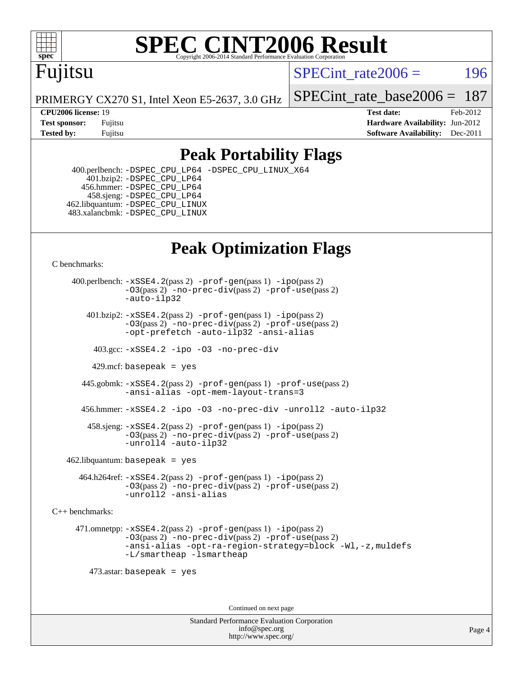

### Fujitsu

SPECint rate $2006 = 196$ 

PRIMERGY CX270 S1, Intel Xeon E5-2637, 3.0 GHz SPECint rate base  $2006 = 187$ 

**[CPU2006 license:](http://www.spec.org/auto/cpu2006/Docs/result-fields.html#CPU2006license)** 19 **[Test date:](http://www.spec.org/auto/cpu2006/Docs/result-fields.html#Testdate)** Feb-2012 **[Test sponsor:](http://www.spec.org/auto/cpu2006/Docs/result-fields.html#Testsponsor)** Fujitsu **[Hardware Availability:](http://www.spec.org/auto/cpu2006/Docs/result-fields.html#HardwareAvailability)** Jun-2012 **[Tested by:](http://www.spec.org/auto/cpu2006/Docs/result-fields.html#Testedby)** Fujitsu **Fugital Example 2011 [Software Availability:](http://www.spec.org/auto/cpu2006/Docs/result-fields.html#SoftwareAvailability)** Dec-2011

### **[Peak Portability Flags](http://www.spec.org/auto/cpu2006/Docs/result-fields.html#PeakPortabilityFlags)**

 400.perlbench: [-DSPEC\\_CPU\\_LP64](http://www.spec.org/cpu2006/results/res2012q3/cpu2006-20120620-23152.flags.html#b400.perlbench_peakCPORTABILITY_DSPEC_CPU_LP64) [-DSPEC\\_CPU\\_LINUX\\_X64](http://www.spec.org/cpu2006/results/res2012q3/cpu2006-20120620-23152.flags.html#b400.perlbench_peakCPORTABILITY_DSPEC_CPU_LINUX_X64) 401.bzip2: [-DSPEC\\_CPU\\_LP64](http://www.spec.org/cpu2006/results/res2012q3/cpu2006-20120620-23152.flags.html#suite_peakCPORTABILITY401_bzip2_DSPEC_CPU_LP64) 456.hmmer: [-DSPEC\\_CPU\\_LP64](http://www.spec.org/cpu2006/results/res2012q3/cpu2006-20120620-23152.flags.html#suite_peakCPORTABILITY456_hmmer_DSPEC_CPU_LP64) 458.sjeng: [-DSPEC\\_CPU\\_LP64](http://www.spec.org/cpu2006/results/res2012q3/cpu2006-20120620-23152.flags.html#suite_peakCPORTABILITY458_sjeng_DSPEC_CPU_LP64) 462.libquantum: [-DSPEC\\_CPU\\_LINUX](http://www.spec.org/cpu2006/results/res2012q3/cpu2006-20120620-23152.flags.html#b462.libquantum_peakCPORTABILITY_DSPEC_CPU_LINUX) 483.xalancbmk: [-DSPEC\\_CPU\\_LINUX](http://www.spec.org/cpu2006/results/res2012q3/cpu2006-20120620-23152.flags.html#b483.xalancbmk_peakCXXPORTABILITY_DSPEC_CPU_LINUX)

### **[Peak Optimization Flags](http://www.spec.org/auto/cpu2006/Docs/result-fields.html#PeakOptimizationFlags)**

[C benchmarks](http://www.spec.org/auto/cpu2006/Docs/result-fields.html#Cbenchmarks):

 400.perlbench: [-xSSE4.2](http://www.spec.org/cpu2006/results/res2012q3/cpu2006-20120620-23152.flags.html#user_peakPASS2_CFLAGSPASS2_LDCFLAGS400_perlbench_f-xSSE42_f91528193cf0b216347adb8b939d4107)(pass 2) [-prof-gen](http://www.spec.org/cpu2006/results/res2012q3/cpu2006-20120620-23152.flags.html#user_peakPASS1_CFLAGSPASS1_LDCFLAGS400_perlbench_prof_gen_e43856698f6ca7b7e442dfd80e94a8fc)(pass 1) [-ipo](http://www.spec.org/cpu2006/results/res2012q3/cpu2006-20120620-23152.flags.html#user_peakPASS2_CFLAGSPASS2_LDCFLAGS400_perlbench_f-ipo)(pass 2) [-O3](http://www.spec.org/cpu2006/results/res2012q3/cpu2006-20120620-23152.flags.html#user_peakPASS2_CFLAGSPASS2_LDCFLAGS400_perlbench_f-O3)(pass 2) [-no-prec-div](http://www.spec.org/cpu2006/results/res2012q3/cpu2006-20120620-23152.flags.html#user_peakPASS2_CFLAGSPASS2_LDCFLAGS400_perlbench_f-no-prec-div)(pass 2) [-prof-use](http://www.spec.org/cpu2006/results/res2012q3/cpu2006-20120620-23152.flags.html#user_peakPASS2_CFLAGSPASS2_LDCFLAGS400_perlbench_prof_use_bccf7792157ff70d64e32fe3e1250b55)(pass 2) [-auto-ilp32](http://www.spec.org/cpu2006/results/res2012q3/cpu2006-20120620-23152.flags.html#user_peakCOPTIMIZE400_perlbench_f-auto-ilp32)  $401.bzip2: -xSSE4.2(pass 2) -prof-qen(pass 1) -ipo(pass 2)$  $401.bzip2: -xSSE4.2(pass 2) -prof-qen(pass 1) -ipo(pass 2)$  $401.bzip2: -xSSE4.2(pass 2) -prof-qen(pass 1) -ipo(pass 2)$  $401.bzip2: -xSSE4.2(pass 2) -prof-qen(pass 1) -ipo(pass 2)$  $401.bzip2: -xSSE4.2(pass 2) -prof-qen(pass 1) -ipo(pass 2)$ [-O3](http://www.spec.org/cpu2006/results/res2012q3/cpu2006-20120620-23152.flags.html#user_peakPASS2_CFLAGSPASS2_LDCFLAGS401_bzip2_f-O3)(pass 2) [-no-prec-div](http://www.spec.org/cpu2006/results/res2012q3/cpu2006-20120620-23152.flags.html#user_peakPASS2_CFLAGSPASS2_LDCFLAGS401_bzip2_f-no-prec-div)(pass 2) [-prof-use](http://www.spec.org/cpu2006/results/res2012q3/cpu2006-20120620-23152.flags.html#user_peakPASS2_CFLAGSPASS2_LDCFLAGS401_bzip2_prof_use_bccf7792157ff70d64e32fe3e1250b55)(pass 2) [-opt-prefetch](http://www.spec.org/cpu2006/results/res2012q3/cpu2006-20120620-23152.flags.html#user_peakCOPTIMIZE401_bzip2_f-opt-prefetch) [-auto-ilp32](http://www.spec.org/cpu2006/results/res2012q3/cpu2006-20120620-23152.flags.html#user_peakCOPTIMIZE401_bzip2_f-auto-ilp32) [-ansi-alias](http://www.spec.org/cpu2006/results/res2012q3/cpu2006-20120620-23152.flags.html#user_peakCOPTIMIZE401_bzip2_f-ansi-alias) 403.gcc: [-xSSE4.2](http://www.spec.org/cpu2006/results/res2012q3/cpu2006-20120620-23152.flags.html#user_peakCOPTIMIZE403_gcc_f-xSSE42_f91528193cf0b216347adb8b939d4107) [-ipo](http://www.spec.org/cpu2006/results/res2012q3/cpu2006-20120620-23152.flags.html#user_peakCOPTIMIZE403_gcc_f-ipo) [-O3](http://www.spec.org/cpu2006/results/res2012q3/cpu2006-20120620-23152.flags.html#user_peakCOPTIMIZE403_gcc_f-O3) [-no-prec-div](http://www.spec.org/cpu2006/results/res2012q3/cpu2006-20120620-23152.flags.html#user_peakCOPTIMIZE403_gcc_f-no-prec-div) 429.mcf: basepeak = yes 445.gobmk: [-xSSE4.2](http://www.spec.org/cpu2006/results/res2012q3/cpu2006-20120620-23152.flags.html#user_peakPASS2_CFLAGSPASS2_LDCFLAGS445_gobmk_f-xSSE42_f91528193cf0b216347adb8b939d4107)(pass 2) [-prof-gen](http://www.spec.org/cpu2006/results/res2012q3/cpu2006-20120620-23152.flags.html#user_peakPASS1_CFLAGSPASS1_LDCFLAGS445_gobmk_prof_gen_e43856698f6ca7b7e442dfd80e94a8fc)(pass 1) [-prof-use](http://www.spec.org/cpu2006/results/res2012q3/cpu2006-20120620-23152.flags.html#user_peakPASS2_CFLAGSPASS2_LDCFLAGS445_gobmk_prof_use_bccf7792157ff70d64e32fe3e1250b55)(pass 2) [-ansi-alias](http://www.spec.org/cpu2006/results/res2012q3/cpu2006-20120620-23152.flags.html#user_peakCOPTIMIZE445_gobmk_f-ansi-alias) [-opt-mem-layout-trans=3](http://www.spec.org/cpu2006/results/res2012q3/cpu2006-20120620-23152.flags.html#user_peakCOPTIMIZE445_gobmk_f-opt-mem-layout-trans_a7b82ad4bd7abf52556d4961a2ae94d5) 456.hmmer: [-xSSE4.2](http://www.spec.org/cpu2006/results/res2012q3/cpu2006-20120620-23152.flags.html#user_peakCOPTIMIZE456_hmmer_f-xSSE42_f91528193cf0b216347adb8b939d4107) [-ipo](http://www.spec.org/cpu2006/results/res2012q3/cpu2006-20120620-23152.flags.html#user_peakCOPTIMIZE456_hmmer_f-ipo) [-O3](http://www.spec.org/cpu2006/results/res2012q3/cpu2006-20120620-23152.flags.html#user_peakCOPTIMIZE456_hmmer_f-O3) [-no-prec-div](http://www.spec.org/cpu2006/results/res2012q3/cpu2006-20120620-23152.flags.html#user_peakCOPTIMIZE456_hmmer_f-no-prec-div) [-unroll2](http://www.spec.org/cpu2006/results/res2012q3/cpu2006-20120620-23152.flags.html#user_peakCOPTIMIZE456_hmmer_f-unroll_784dae83bebfb236979b41d2422d7ec2) [-auto-ilp32](http://www.spec.org/cpu2006/results/res2012q3/cpu2006-20120620-23152.flags.html#user_peakCOPTIMIZE456_hmmer_f-auto-ilp32) 458.sjeng: [-xSSE4.2](http://www.spec.org/cpu2006/results/res2012q3/cpu2006-20120620-23152.flags.html#user_peakPASS2_CFLAGSPASS2_LDCFLAGS458_sjeng_f-xSSE42_f91528193cf0b216347adb8b939d4107)(pass 2) [-prof-gen](http://www.spec.org/cpu2006/results/res2012q3/cpu2006-20120620-23152.flags.html#user_peakPASS1_CFLAGSPASS1_LDCFLAGS458_sjeng_prof_gen_e43856698f6ca7b7e442dfd80e94a8fc)(pass 1) [-ipo](http://www.spec.org/cpu2006/results/res2012q3/cpu2006-20120620-23152.flags.html#user_peakPASS2_CFLAGSPASS2_LDCFLAGS458_sjeng_f-ipo)(pass 2) [-O3](http://www.spec.org/cpu2006/results/res2012q3/cpu2006-20120620-23152.flags.html#user_peakPASS2_CFLAGSPASS2_LDCFLAGS458_sjeng_f-O3)(pass 2) [-no-prec-div](http://www.spec.org/cpu2006/results/res2012q3/cpu2006-20120620-23152.flags.html#user_peakPASS2_CFLAGSPASS2_LDCFLAGS458_sjeng_f-no-prec-div)(pass 2) [-prof-use](http://www.spec.org/cpu2006/results/res2012q3/cpu2006-20120620-23152.flags.html#user_peakPASS2_CFLAGSPASS2_LDCFLAGS458_sjeng_prof_use_bccf7792157ff70d64e32fe3e1250b55)(pass 2) [-unroll4](http://www.spec.org/cpu2006/results/res2012q3/cpu2006-20120620-23152.flags.html#user_peakCOPTIMIZE458_sjeng_f-unroll_4e5e4ed65b7fd20bdcd365bec371b81f) [-auto-ilp32](http://www.spec.org/cpu2006/results/res2012q3/cpu2006-20120620-23152.flags.html#user_peakCOPTIMIZE458_sjeng_f-auto-ilp32)  $462$ .libquantum: basepeak = yes 464.h264ref: [-xSSE4.2](http://www.spec.org/cpu2006/results/res2012q3/cpu2006-20120620-23152.flags.html#user_peakPASS2_CFLAGSPASS2_LDCFLAGS464_h264ref_f-xSSE42_f91528193cf0b216347adb8b939d4107)(pass 2) [-prof-gen](http://www.spec.org/cpu2006/results/res2012q3/cpu2006-20120620-23152.flags.html#user_peakPASS1_CFLAGSPASS1_LDCFLAGS464_h264ref_prof_gen_e43856698f6ca7b7e442dfd80e94a8fc)(pass 1) [-ipo](http://www.spec.org/cpu2006/results/res2012q3/cpu2006-20120620-23152.flags.html#user_peakPASS2_CFLAGSPASS2_LDCFLAGS464_h264ref_f-ipo)(pass 2) [-O3](http://www.spec.org/cpu2006/results/res2012q3/cpu2006-20120620-23152.flags.html#user_peakPASS2_CFLAGSPASS2_LDCFLAGS464_h264ref_f-O3)(pass 2) [-no-prec-div](http://www.spec.org/cpu2006/results/res2012q3/cpu2006-20120620-23152.flags.html#user_peakPASS2_CFLAGSPASS2_LDCFLAGS464_h264ref_f-no-prec-div)(pass 2) [-prof-use](http://www.spec.org/cpu2006/results/res2012q3/cpu2006-20120620-23152.flags.html#user_peakPASS2_CFLAGSPASS2_LDCFLAGS464_h264ref_prof_use_bccf7792157ff70d64e32fe3e1250b55)(pass 2) [-unroll2](http://www.spec.org/cpu2006/results/res2012q3/cpu2006-20120620-23152.flags.html#user_peakCOPTIMIZE464_h264ref_f-unroll_784dae83bebfb236979b41d2422d7ec2) [-ansi-alias](http://www.spec.org/cpu2006/results/res2012q3/cpu2006-20120620-23152.flags.html#user_peakCOPTIMIZE464_h264ref_f-ansi-alias) [C++ benchmarks:](http://www.spec.org/auto/cpu2006/Docs/result-fields.html#CXXbenchmarks) 471.omnetpp: [-xSSE4.2](http://www.spec.org/cpu2006/results/res2012q3/cpu2006-20120620-23152.flags.html#user_peakPASS2_CXXFLAGSPASS2_LDCXXFLAGS471_omnetpp_f-xSSE42_f91528193cf0b216347adb8b939d4107)(pass 2) [-prof-gen](http://www.spec.org/cpu2006/results/res2012q3/cpu2006-20120620-23152.flags.html#user_peakPASS1_CXXFLAGSPASS1_LDCXXFLAGS471_omnetpp_prof_gen_e43856698f6ca7b7e442dfd80e94a8fc)(pass 1) [-ipo](http://www.spec.org/cpu2006/results/res2012q3/cpu2006-20120620-23152.flags.html#user_peakPASS2_CXXFLAGSPASS2_LDCXXFLAGS471_omnetpp_f-ipo)(pass 2) [-O3](http://www.spec.org/cpu2006/results/res2012q3/cpu2006-20120620-23152.flags.html#user_peakPASS2_CXXFLAGSPASS2_LDCXXFLAGS471_omnetpp_f-O3)(pass 2) [-no-prec-div](http://www.spec.org/cpu2006/results/res2012q3/cpu2006-20120620-23152.flags.html#user_peakPASS2_CXXFLAGSPASS2_LDCXXFLAGS471_omnetpp_f-no-prec-div)(pass 2) [-prof-use](http://www.spec.org/cpu2006/results/res2012q3/cpu2006-20120620-23152.flags.html#user_peakPASS2_CXXFLAGSPASS2_LDCXXFLAGS471_omnetpp_prof_use_bccf7792157ff70d64e32fe3e1250b55)(pass 2) [-ansi-alias](http://www.spec.org/cpu2006/results/res2012q3/cpu2006-20120620-23152.flags.html#user_peakCXXOPTIMIZE471_omnetpp_f-ansi-alias) [-opt-ra-region-strategy=block](http://www.spec.org/cpu2006/results/res2012q3/cpu2006-20120620-23152.flags.html#user_peakCXXOPTIMIZE471_omnetpp_f-opt-ra-region-strategy_a0a37c372d03933b2a18d4af463c1f69) [-Wl,-z,muldefs](http://www.spec.org/cpu2006/results/res2012q3/cpu2006-20120620-23152.flags.html#user_peakEXTRA_LDFLAGS471_omnetpp_link_force_multiple1_74079c344b956b9658436fd1b6dd3a8a) [-L/smartheap -lsmartheap](http://www.spec.org/cpu2006/results/res2012q3/cpu2006-20120620-23152.flags.html#user_peakEXTRA_LIBS471_omnetpp_SmartHeap_7c9e394a5779e1a7fec7c221e123830c) 473.astar: basepeak = yes

Continued on next page

Standard Performance Evaluation Corporation [info@spec.org](mailto:info@spec.org) <http://www.spec.org/>